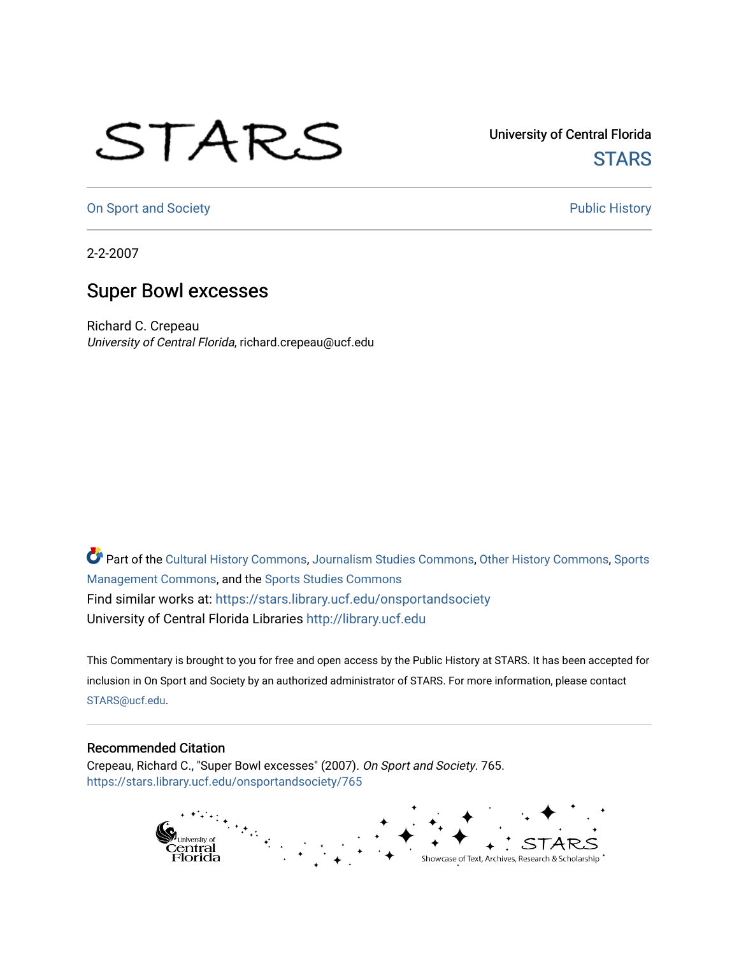## STARS

University of Central Florida **STARS** 

[On Sport and Society](https://stars.library.ucf.edu/onsportandsociety) **Public History** Public History

2-2-2007

## Super Bowl excesses

Richard C. Crepeau University of Central Florida, richard.crepeau@ucf.edu

Part of the [Cultural History Commons](http://network.bepress.com/hgg/discipline/496?utm_source=stars.library.ucf.edu%2Fonsportandsociety%2F765&utm_medium=PDF&utm_campaign=PDFCoverPages), [Journalism Studies Commons,](http://network.bepress.com/hgg/discipline/333?utm_source=stars.library.ucf.edu%2Fonsportandsociety%2F765&utm_medium=PDF&utm_campaign=PDFCoverPages) [Other History Commons,](http://network.bepress.com/hgg/discipline/508?utm_source=stars.library.ucf.edu%2Fonsportandsociety%2F765&utm_medium=PDF&utm_campaign=PDFCoverPages) [Sports](http://network.bepress.com/hgg/discipline/1193?utm_source=stars.library.ucf.edu%2Fonsportandsociety%2F765&utm_medium=PDF&utm_campaign=PDFCoverPages) [Management Commons](http://network.bepress.com/hgg/discipline/1193?utm_source=stars.library.ucf.edu%2Fonsportandsociety%2F765&utm_medium=PDF&utm_campaign=PDFCoverPages), and the [Sports Studies Commons](http://network.bepress.com/hgg/discipline/1198?utm_source=stars.library.ucf.edu%2Fonsportandsociety%2F765&utm_medium=PDF&utm_campaign=PDFCoverPages) Find similar works at: <https://stars.library.ucf.edu/onsportandsociety> University of Central Florida Libraries [http://library.ucf.edu](http://library.ucf.edu/) 

This Commentary is brought to you for free and open access by the Public History at STARS. It has been accepted for inclusion in On Sport and Society by an authorized administrator of STARS. For more information, please contact [STARS@ucf.edu](mailto:STARS@ucf.edu).

## Recommended Citation

Crepeau, Richard C., "Super Bowl excesses" (2007). On Sport and Society. 765. [https://stars.library.ucf.edu/onsportandsociety/765](https://stars.library.ucf.edu/onsportandsociety/765?utm_source=stars.library.ucf.edu%2Fonsportandsociety%2F765&utm_medium=PDF&utm_campaign=PDFCoverPages)

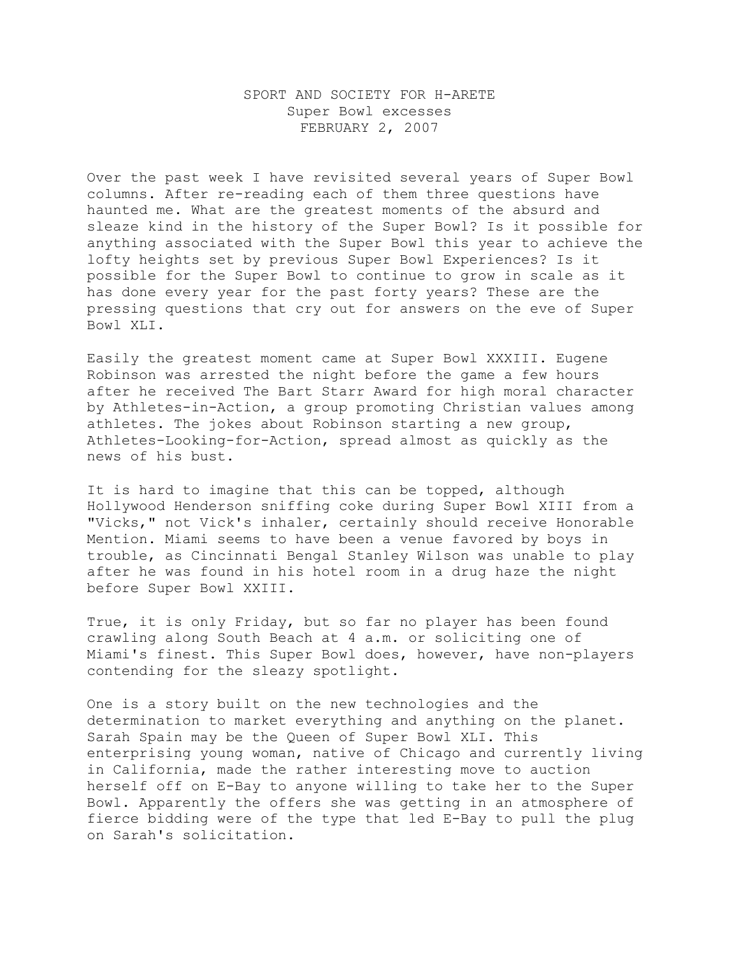## SPORT AND SOCIETY FOR H-ARETE Super Bowl excesses FEBRUARY 2, 2007

Over the past week I have revisited several years of Super Bowl columns. After re-reading each of them three questions have haunted me. What are the greatest moments of the absurd and sleaze kind in the history of the Super Bowl? Is it possible for anything associated with the Super Bowl this year to achieve the lofty heights set by previous Super Bowl Experiences? Is it possible for the Super Bowl to continue to grow in scale as it has done every year for the past forty years? These are the pressing questions that cry out for answers on the eve of Super Bowl XLI.

Easily the greatest moment came at Super Bowl XXXIII. Eugene Robinson was arrested the night before the game a few hours after he received The Bart Starr Award for high moral character by Athletes-in-Action, a group promoting Christian values among athletes. The jokes about Robinson starting a new group, Athletes-Looking-for-Action, spread almost as quickly as the news of his bust.

It is hard to imagine that this can be topped, although Hollywood Henderson sniffing coke during Super Bowl XIII from a "Vicks," not Vick's inhaler, certainly should receive Honorable Mention. Miami seems to have been a venue favored by boys in trouble, as Cincinnati Bengal Stanley Wilson was unable to play after he was found in his hotel room in a drug haze the night before Super Bowl XXIII.

True, it is only Friday, but so far no player has been found crawling along South Beach at 4 a.m. or soliciting one of Miami's finest. This Super Bowl does, however, have non-players contending for the sleazy spotlight.

One is a story built on the new technologies and the determination to market everything and anything on the planet. Sarah Spain may be the Queen of Super Bowl XLI. This enterprising young woman, native of Chicago and currently living in California, made the rather interesting move to auction herself off on E-Bay to anyone willing to take her to the Super Bowl. Apparently the offers she was getting in an atmosphere of fierce bidding were of the type that led E-Bay to pull the plug on Sarah's solicitation.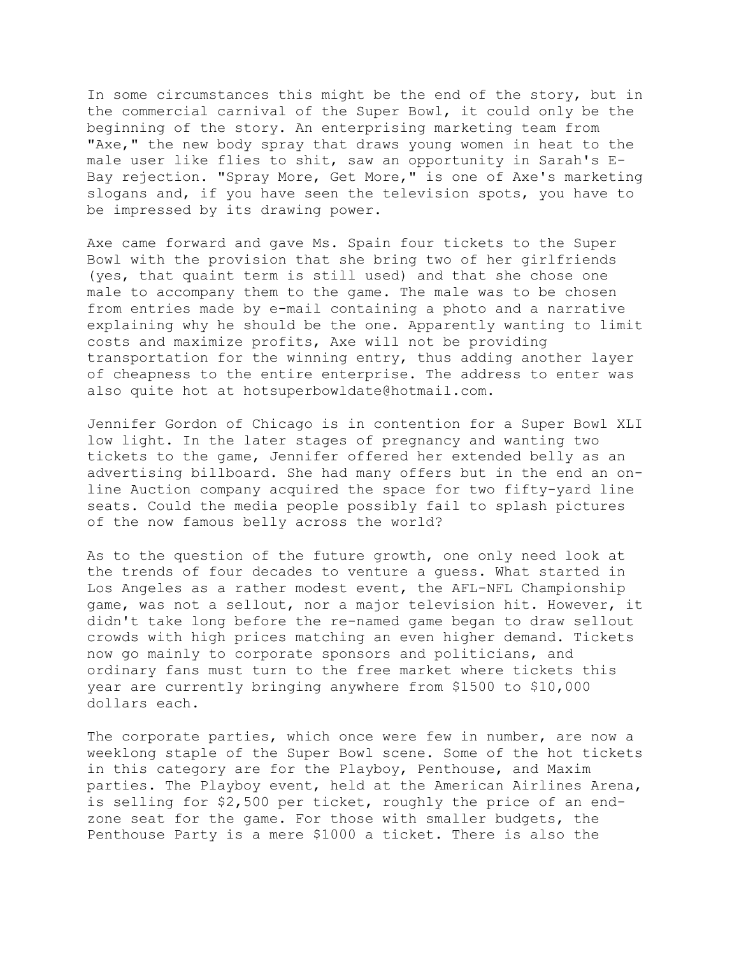In some circumstances this might be the end of the story, but in the commercial carnival of the Super Bowl, it could only be the beginning of the story. An enterprising marketing team from "Axe," the new body spray that draws young women in heat to the male user like flies to shit, saw an opportunity in Sarah's E-Bay rejection. "Spray More, Get More," is one of Axe's marketing slogans and, if you have seen the television spots, you have to be impressed by its drawing power.

Axe came forward and gave Ms. Spain four tickets to the Super Bowl with the provision that she bring two of her girlfriends (yes, that quaint term is still used) and that she chose one male to accompany them to the game. The male was to be chosen from entries made by e-mail containing a photo and a narrative explaining why he should be the one. Apparently wanting to limit costs and maximize profits, Axe will not be providing transportation for the winning entry, thus adding another layer of cheapness to the entire enterprise. The address to enter was also quite hot at hotsuperbowldate@hotmail.com.

Jennifer Gordon of Chicago is in contention for a Super Bowl XLI low light. In the later stages of pregnancy and wanting two tickets to the game, Jennifer offered her extended belly as an advertising billboard. She had many offers but in the end an online Auction company acquired the space for two fifty-yard line seats. Could the media people possibly fail to splash pictures of the now famous belly across the world?

As to the question of the future growth, one only need look at the trends of four decades to venture a guess. What started in Los Angeles as a rather modest event, the AFL-NFL Championship game, was not a sellout, nor a major television hit. However, it didn't take long before the re-named game began to draw sellout crowds with high prices matching an even higher demand. Tickets now go mainly to corporate sponsors and politicians, and ordinary fans must turn to the free market where tickets this year are currently bringing anywhere from \$1500 to \$10,000 dollars each.

The corporate parties, which once were few in number, are now a weeklong staple of the Super Bowl scene. Some of the hot tickets in this category are for the Playboy, Penthouse, and Maxim parties. The Playboy event, held at the American Airlines Arena, is selling for \$2,500 per ticket, roughly the price of an endzone seat for the game. For those with smaller budgets, the Penthouse Party is a mere \$1000 a ticket. There is also the